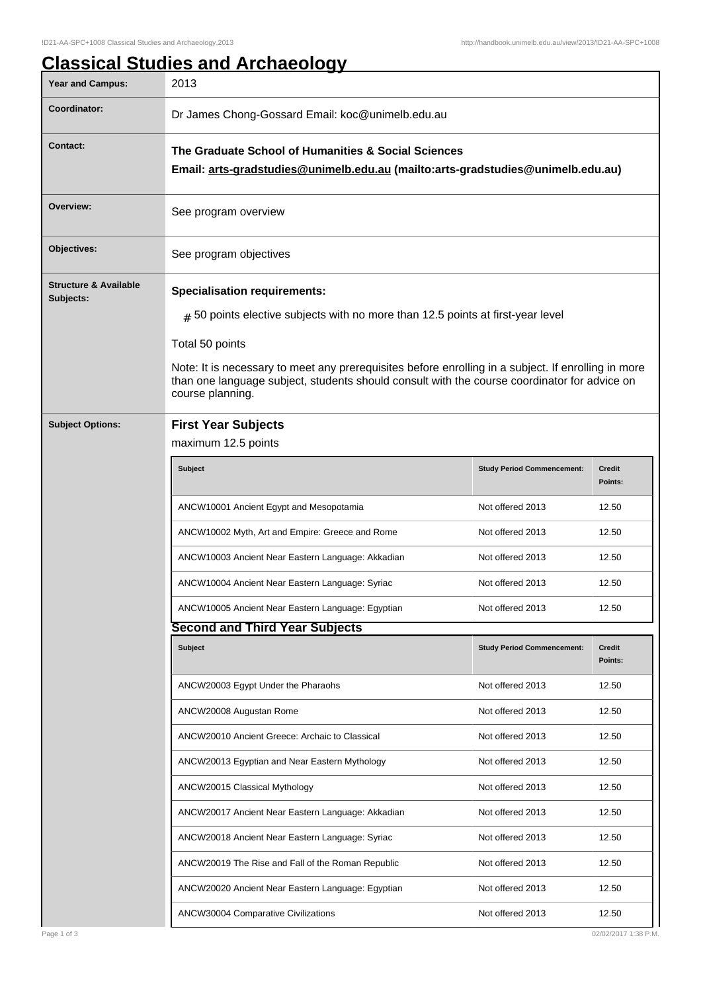## **Classical Studies and Archaeology**

| <b>Year and Campus:</b>                       | 2013                                                                                                                                                                                                                                                                                                                                                                       |                                   |                          |  |  |
|-----------------------------------------------|----------------------------------------------------------------------------------------------------------------------------------------------------------------------------------------------------------------------------------------------------------------------------------------------------------------------------------------------------------------------------|-----------------------------------|--------------------------|--|--|
| Coordinator:                                  | Dr James Chong-Gossard Email: koc@unimelb.edu.au                                                                                                                                                                                                                                                                                                                           |                                   |                          |  |  |
| <b>Contact:</b>                               | The Graduate School of Humanities & Social Sciences<br>Email: arts-gradstudies@unimelb.edu.au (mailto:arts-gradstudies@unimelb.edu.au)                                                                                                                                                                                                                                     |                                   |                          |  |  |
| Overview:                                     | See program overview                                                                                                                                                                                                                                                                                                                                                       |                                   |                          |  |  |
| Objectives:                                   | See program objectives                                                                                                                                                                                                                                                                                                                                                     |                                   |                          |  |  |
| <b>Structure &amp; Available</b><br>Subjects: | <b>Specialisation requirements:</b><br>$_{\#}$ 50 points elective subjects with no more than 12.5 points at first-year level<br>Total 50 points<br>Note: It is necessary to meet any prerequisites before enrolling in a subject. If enrolling in more<br>than one language subject, students should consult with the course coordinator for advice on<br>course planning. |                                   |                          |  |  |
| <b>Subject Options:</b>                       | <b>First Year Subjects</b>                                                                                                                                                                                                                                                                                                                                                 |                                   |                          |  |  |
|                                               | maximum 12.5 points                                                                                                                                                                                                                                                                                                                                                        |                                   |                          |  |  |
|                                               | Subject                                                                                                                                                                                                                                                                                                                                                                    | <b>Study Period Commencement:</b> | <b>Credit</b><br>Points: |  |  |
|                                               | ANCW10001 Ancient Egypt and Mesopotamia                                                                                                                                                                                                                                                                                                                                    | Not offered 2013                  | 12.50                    |  |  |
|                                               | ANCW10002 Myth, Art and Empire: Greece and Rome                                                                                                                                                                                                                                                                                                                            | Not offered 2013                  | 12.50                    |  |  |
|                                               | ANCW10003 Ancient Near Eastern Language: Akkadian                                                                                                                                                                                                                                                                                                                          | Not offered 2013                  | 12.50                    |  |  |
|                                               | ANCW10004 Ancient Near Eastern Language: Syriac                                                                                                                                                                                                                                                                                                                            | Not offered 2013                  | 12.50                    |  |  |
|                                               | ANCW10005 Ancient Near Eastern Language: Egyptian                                                                                                                                                                                                                                                                                                                          | Not offered 2013                  | 12.50                    |  |  |
|                                               | <b>Second and Third Year Subjects</b>                                                                                                                                                                                                                                                                                                                                      |                                   |                          |  |  |
|                                               | Subject                                                                                                                                                                                                                                                                                                                                                                    | <b>Study Period Commencement:</b> | Credit<br>Points:        |  |  |
|                                               | ANCW20003 Egypt Under the Pharaohs                                                                                                                                                                                                                                                                                                                                         | Not offered 2013                  | 12.50                    |  |  |
|                                               | ANCW20008 Augustan Rome                                                                                                                                                                                                                                                                                                                                                    | Not offered 2013                  | 12.50                    |  |  |
|                                               | ANCW20010 Ancient Greece: Archaic to Classical                                                                                                                                                                                                                                                                                                                             | Not offered 2013                  | 12.50                    |  |  |
|                                               | ANCW20013 Egyptian and Near Eastern Mythology                                                                                                                                                                                                                                                                                                                              | Not offered 2013                  | 12.50                    |  |  |
|                                               | ANCW20015 Classical Mythology                                                                                                                                                                                                                                                                                                                                              | Not offered 2013                  | 12.50                    |  |  |
|                                               | ANCW20017 Ancient Near Eastern Language: Akkadian                                                                                                                                                                                                                                                                                                                          | Not offered 2013                  | 12.50                    |  |  |
|                                               | ANCW20018 Ancient Near Eastern Language: Syriac                                                                                                                                                                                                                                                                                                                            | Not offered 2013                  | 12.50                    |  |  |
|                                               | ANCW20019 The Rise and Fall of the Roman Republic                                                                                                                                                                                                                                                                                                                          | Not offered 2013                  | 12.50                    |  |  |
|                                               | ANCW20020 Ancient Near Eastern Language: Egyptian                                                                                                                                                                                                                                                                                                                          | Not offered 2013                  | 12.50                    |  |  |
|                                               | ANCW30004 Comparative Civilizations                                                                                                                                                                                                                                                                                                                                        | Not offered 2013                  | 12.50                    |  |  |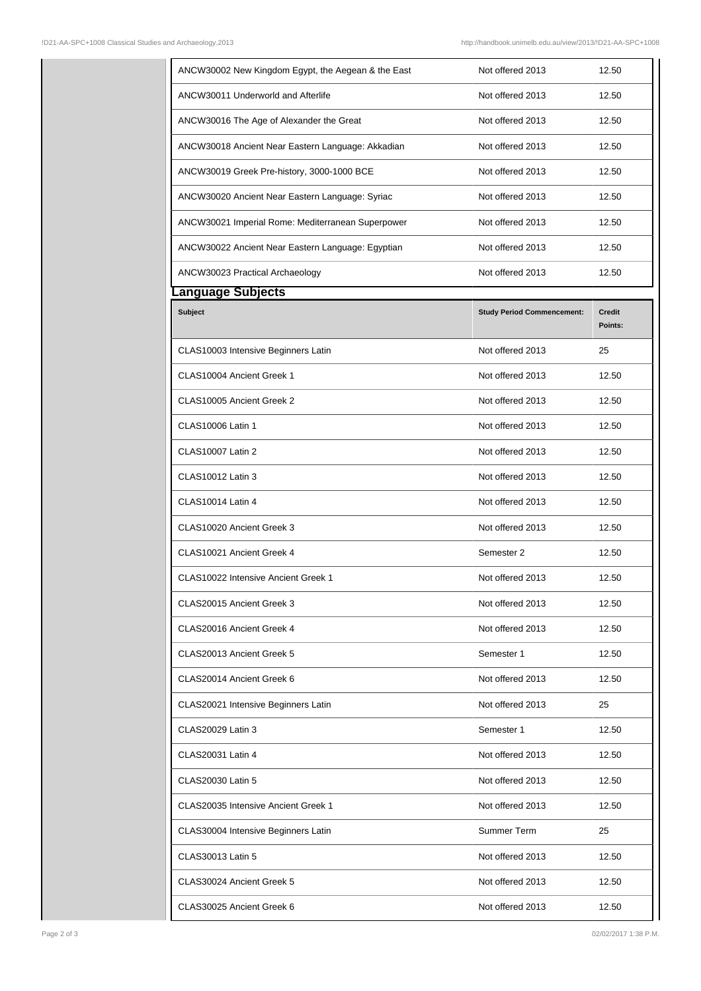| ANCW30002 New Kingdom Egypt, the Aegean & the East | Not offered 2013                  | 12.50                    |
|----------------------------------------------------|-----------------------------------|--------------------------|
| ANCW30011 Underworld and Afterlife                 | Not offered 2013                  | 12.50                    |
| ANCW30016 The Age of Alexander the Great           | Not offered 2013                  | 12.50                    |
| ANCW30018 Ancient Near Eastern Language: Akkadian  | Not offered 2013                  | 12.50                    |
| ANCW30019 Greek Pre-history, 3000-1000 BCE         | Not offered 2013                  | 12.50                    |
| ANCW30020 Ancient Near Eastern Language: Syriac    | Not offered 2013                  | 12.50                    |
| ANCW30021 Imperial Rome: Mediterranean Superpower  | Not offered 2013                  | 12.50                    |
| ANCW30022 Ancient Near Eastern Language: Egyptian  | Not offered 2013                  | 12.50                    |
| ANCW30023 Practical Archaeology                    | Not offered 2013                  | 12.50                    |
| anguage Subjects.                                  |                                   |                          |
| <b>Subject</b>                                     | <b>Study Period Commencement:</b> | <b>Credit</b><br>Points: |
| CLAS10003 Intensive Beginners Latin                | Not offered 2013                  | 25                       |
| CLAS10004 Ancient Greek 1                          | Not offered 2013                  | 12.50                    |
| CLAS10005 Ancient Greek 2                          | Not offered 2013                  | 12.50                    |
| <b>CLAS10006 Latin 1</b>                           | Not offered 2013                  | 12.50                    |
| <b>CLAS10007 Latin 2</b>                           | Not offered 2013                  | 12.50                    |
| CLAS10012 Latin 3                                  | Not offered 2013                  | 12.50                    |
| <b>CLAS10014 Latin 4</b>                           | Not offered 2013                  | 12.50                    |
| CLAS10020 Ancient Greek 3                          | Not offered 2013                  | 12.50                    |
| CLAS10021 Ancient Greek 4                          | Semester 2                        | 12.50                    |
| CLAS10022 Intensive Ancient Greek 1                | Not offered 2013                  | 12.50                    |
| CLAS20015 Ancient Greek 3                          | Not offered 2013                  | 12.50                    |
| CLAS20016 Ancient Greek 4                          | Not offered 2013                  | 12.50                    |
| CLAS20013 Ancient Greek 5                          | Semester 1                        | 12.50                    |
| CLAS20014 Ancient Greek 6                          | Not offered 2013                  | 12.50                    |
| CLAS20021 Intensive Beginners Latin                | Not offered 2013                  | 25                       |
| CLAS20029 Latin 3                                  | Semester 1                        | 12.50                    |
| CLAS20031 Latin 4                                  | Not offered 2013                  | 12.50                    |
| CLAS20030 Latin 5                                  | Not offered 2013                  | 12.50                    |
| CLAS20035 Intensive Ancient Greek 1                | Not offered 2013                  | 12.50                    |
| CLAS30004 Intensive Beginners Latin                | Summer Term                       | 25                       |
| CLAS30013 Latin 5                                  | Not offered 2013                  | 12.50                    |
| CLAS30024 Ancient Greek 5                          | Not offered 2013                  | 12.50                    |
| CLAS30025 Ancient Greek 6                          | Not offered 2013                  | 12.50                    |
|                                                    |                                   |                          |